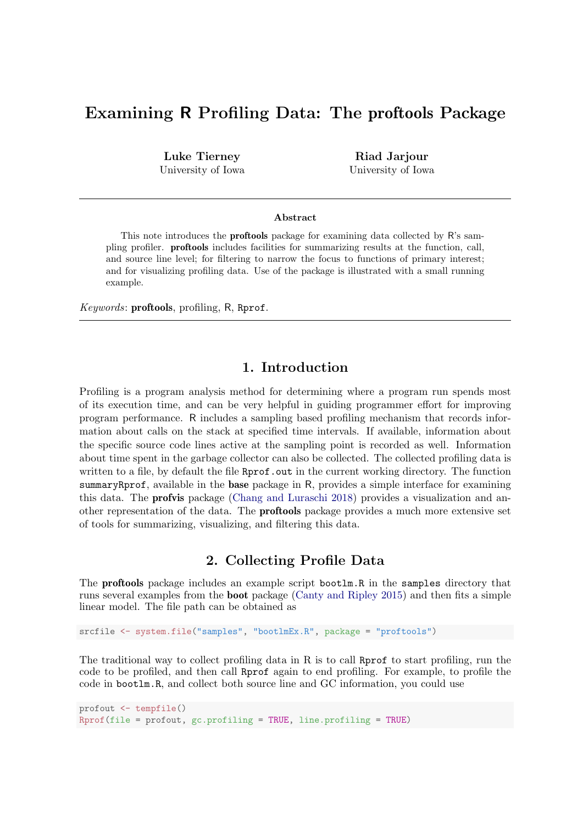# Examining R Profiling Data: The proftools Package

Luke Tierney University of Iowa

Riad Jarjour University of Iowa

#### Abstract

This note introduces the **proftools** package for examining data collected by R's sampling profiler. proftools includes facilities for summarizing results at the function, call, and source line level; for filtering to narrow the focus to functions of primary interest; and for visualizing profiling data. Use of the package is illustrated with a small running example.

Keywords: proftools, profiling, R, Rprof.

### 1. Introduction

Profiling is a program analysis method for determining where a program run spends most of its execution time, and can be very helpful in guiding programmer effort for improving program performance. R includes a sampling based profiling mechanism that records information about calls on the stack at specified time intervals. If available, information about the specific source code lines active at the sampling point is recorded as well. Information about time spent in the garbage collector can also be collected. The collected profiling data is written to a file, by default the file Rprof.out in the current working directory. The function summaryRprof, available in the base package in R, provides a simple interface for examining this data. The profvis package [\(Chang and Luraschi 2018\)](#page-10-0) provides a visualization and another representation of the data. The proftools package provides a much more extensive set of tools for summarizing, visualizing, and filtering this data.

### 2. Collecting Profile Data

The proftools package includes an example script bootlm.R in the samples directory that runs several examples from the boot package [\(Canty and Ripley 2015\)](#page-10-1) and then fits a simple linear model. The file path can be obtained as

srcfile <- system.file("samples", "bootlmEx.R", package = "proftools")

The traditional way to collect profiling data in R is to call Rprof to start profiling, run the code to be profiled, and then call Rprof again to end profiling. For example, to profile the code in bootlm.R, and collect both source line and GC information, you could use

```
profout <- tempfile()
Rprof(file = profout, gc.profilling = TRUE, line.profilling = TRUE)
```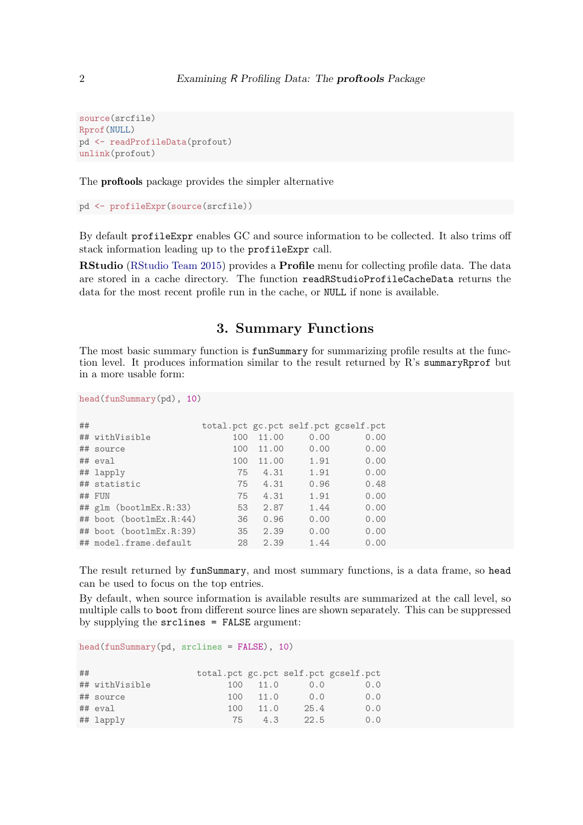```
source(srcfile)
Rprof(NULL)
pd <- readProfileData(profout)
unlink(profout)
```
The proftools package provides the simpler alternative

pd <- profileExpr(source(srcfile))

By default profileExpr enables GC and source information to be collected. It also trims off stack information leading up to the profileExpr call.

RStudio [\(RStudio Team 2015\)](#page-11-0) provides a Profile menu for collecting profile data. The data are stored in a cache directory. The function readRStudioProfileCacheData returns the data for the most recent profile run in the cache, or NULL if none is available.

# 3. Summary Functions

The most basic summary function is **funSummary** for summarizing profile results at the function level. It produces information similar to the result returned by R's summaryRprof but in a more usable form:

head(funSummary(pd), 10)

| ## |                         |     |       |      | total.pct gc.pct self.pct gcself.pct |
|----|-------------------------|-----|-------|------|--------------------------------------|
|    | ## withVisible          | 100 | 11.00 | 0.00 | 0.00                                 |
|    | ## source               | 100 | 11.00 | 0.00 | 0.00                                 |
|    | ## eval                 | 100 | 11.00 | 1.91 | 0.00                                 |
|    | ## lapply               | 75  | 4.31  | 1.91 | 0.00                                 |
|    | ## statistic            | 75  | 4.31  | 0.96 | 0.48                                 |
|    | ## FUN                  | 75  | 4.31  | 1.91 | 0.00                                 |
|    | ## glm (bootlmEx.R:33)  | 53  | 2.87  | 1.44 | 0.00                                 |
|    | ## boot (bootlmEx.R:44) | 36  | 0.96  | 0.00 | 0.00                                 |
|    | ## boot (bootlmEx.R:39) | 35  | 2.39  | 0.00 | 0.00                                 |
|    | ## model.frame.default  | 28  | 2.39  | 1.44 | 0.00                                 |

The result returned by funSummary, and most summary functions, is a data frame, so head can be used to focus on the top entries.

By default, when source information is available results are summarized at the call level, so multiple calls to boot from different source lines are shown separately. This can be suppressed by supplying the srclines = FALSE argument:

head(funSummary(pd, srclines = FALSE), 10)

| ## |                |     |      |      | total.pct gc.pct self.pct gcself.pct |
|----|----------------|-----|------|------|--------------------------------------|
|    | ## withVisible | 100 | 11.0 | 0.0  | 0.0                                  |
|    | ## source      | 100 | 11.0 | 0.0  | 0.0                                  |
|    | ## eval        | 100 | 11.0 | 25.4 | 0.0                                  |
|    | ## lapply      | 75. | 4.3  | 22.5 | 0.0                                  |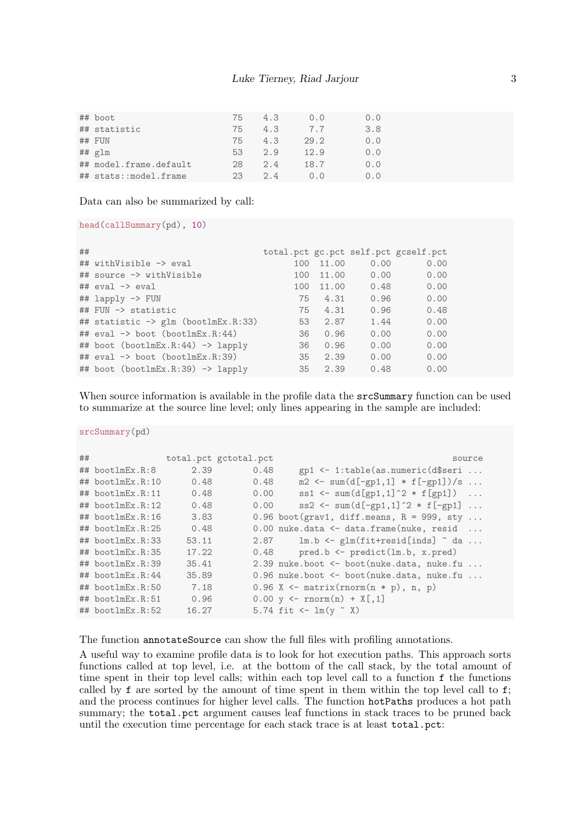| ## boot                | 75 | 4.3 | 0.0  | 0.0 |
|------------------------|----|-----|------|-----|
| ## statistic           | 75 | 4.3 | 7.7  | 3.8 |
| ## FUN                 | 75 | 4.3 | 29.2 | 0.0 |
| $##$ $glm$             | 53 | 2.9 | 12.9 | 0.0 |
| ## model.frame.default | 28 | 2.4 | 18.7 | 0.0 |
| ## stats::model.frame  | 23 | 2.4 | 0.0  | 0.0 |

Data can also be summarized by call:

```
head(callSummary(pd), 10)
```

| ## |                                            |     |       |      | total.pct gc.pct self.pct gcself.pct |
|----|--------------------------------------------|-----|-------|------|--------------------------------------|
|    | ## withVisible -> eval                     | 100 | 11.00 | 0.00 | 0.00                                 |
|    | ## source -> withVisible                   | 100 | 11.00 | 0.00 | 0.00                                 |
|    | $\#$ # eval $\rightarrow$ eval             | 100 | 11.00 | 0.48 | 0.00                                 |
|    | ## lapply -> FUN                           | 75  | 4.31  | 0.96 | 0.00                                 |
|    | ## FUN -> statistic                        | 75  | 4.31  | 0.96 | 0.48                                 |
|    | ## statistic -> glm (bootlmEx.R:33)        | 53  | 2.87  | 1.44 | 0.00                                 |
|    | ## eval $\rightarrow$ boot (bootlmEx.R:44) | 36  | 0.96  | 0.00 | 0.00                                 |
|    | ## boot (bootlmEx.R:44) -> lapply          | 36  | 0.96  | 0.00 | 0.00                                 |
|    | ## $eval \rightarrow boot (bootlmEx.R:39)$ | 35  | 2.39  | 0.00 | 0.00                                 |
|    | ## boot (bootlmEx.R:39) -> lapply          | 35  | 2.39  | 0.48 | 0.00                                 |

When source information is available in the profile data the  $srcSummary$  function can be used to summarize at the source line level; only lines appearing in the sample are included:

srcSummary(pd)

| ## |                        |       | total.pct gctotal.pct | source                                                     |
|----|------------------------|-------|-----------------------|------------------------------------------------------------|
|    | $\#$ # bootlm $Ex.R:8$ | 2.39  | 0.48                  | gp1 <- 1:table(as.numeric(d\$seri                          |
|    | ## bootlmEx.R:10       | 0.48  | 0.48                  | $m2 \leq sum(d[-gp1,1] * f[-gp1])/s $                      |
|    | ## bootlmEx.R:11       | 0.48  | 0.00                  | $ss1 \leftarrow sum(d[gp1,1]^2 * f[gp1]) \dots$            |
|    | $\#$ # bootlmEx.R:12   | 0.48  | 0.00                  | $ss2 \leq sum(d[-gp1,1]^2 * f[-gp1] \dots$                 |
|    | $\#$ # bootlmEx.R:16   | 3.83  |                       | $0.96$ boot(grav1, diff.means, $R = 999$ , sty             |
|    | ## bootlmEx.R:25       | 0.48  |                       | $0.00$ nuke.data $\leq$ data.frame(nuke, resid             |
|    | $\#$ # bootlmEx.R:33   | 53.11 | 2.87                  | $lm.b \leftarrow glm(fitt + residual[inds]$ $\tilde{a} a $ |
|    | ## bootlmEx.R:35       | 17.22 | 0.48                  | $pred.b \leftarrow predict(lm.b, x.pred)$                  |
|    | ## bootlmEx.R:39       | 35.41 |                       | $2.39$ nuke.boot $\leq$ boot (nuke.data, nuke.fu           |
|    | $\#$ # bootlmEx.R:44   | 35.89 |                       | 0.96 nuke.boot <- boot(nuke.data, nuke.fu                  |
|    | $\#$ # bootlmEx.R:50   | 7.18  |                       | $0.96$ X <- matrix(rnorm(n * p), n, p)                     |
|    | ## bootlmEx.R:51       | 0.96  |                       | $0.00 y \leftarrow \text{rnorm}(n) + X[, 1]$               |
|    | $\#$ # bootlmEx.R:52   | 16.27 |                       | 5.74 fit <- $lm(y \sim X)$                                 |

The function annotateSource can show the full files with profiling annotations.

A useful way to examine profile data is to look for hot execution paths. This approach sorts functions called at top level, i.e. at the bottom of the call stack, by the total amount of time spent in their top level calls; within each top level call to a function f the functions called by f are sorted by the amount of time spent in them within the top level call to f; and the process continues for higher level calls. The function hotPaths produces a hot path summary; the **total**.pct argument causes leaf functions in stack traces to be pruned back until the execution time percentage for each stack trace is at least total.pct: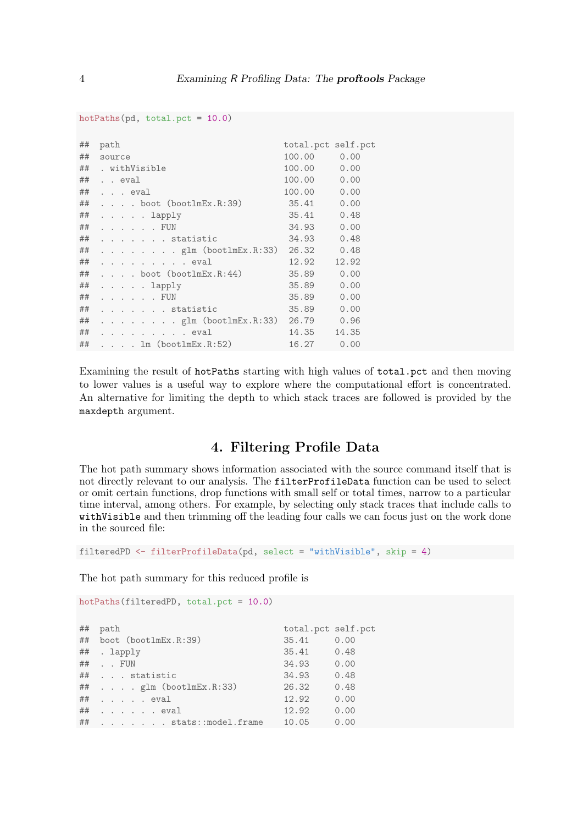| ##      | path |        |                                              | total.pct self.pct |       |
|---------|------|--------|----------------------------------------------|--------------------|-------|
| ##      |      | source |                                              | 100.00             | 0.00  |
|         |      |        | ## . withVisible                             | 100.00             | 0.00  |
| ## eval |      |        |                                              | 100.00             | 0.00  |
| ##      |      |        | $\ldots$ eval                                | 100.00             | 0.00  |
| ##      |      |        | $\ldots$ boot (bootlmEx.R:39)                | 35.41              | 0.00  |
| ##      |      |        | $\cdots$ lapply                              | 35.41              | 0.48  |
| ##      |      |        | $\cdots$ $\cdots$ $\cdots$ $\vdots$ $\vdots$ | 34.93              | 0.00  |
| ##      |      |        | $\ldots$ statistic                           | 34.93              | 0.48  |
| ##      |      |        | $\ldots$ glm (bootlmEx.R:33) 26.32           |                    | 0.48  |
| ##      |      |        | $\cdots$ eval                                | 12.92              | 12.92 |
| ##      |      |        | $\ldots$ boot (bootlmEx.R:44)                | 35.89              | 0.00  |
|         |      |        | ## lapply                                    | 35.89              | 0.00  |
| ##      |      |        | $\cdots$ $\cdots$ $\cdots$ $\vdots$ $\vdots$ | 35.89              | 0.00  |
| ##      |      |        | $\cdots$ statistic                           | 35.89              | 0.00  |
|         |      |        | ## glm (bootlmEx.R:33) 26.79                 |                    | 0.96  |
|         |      |        | ## eval                                      | 14.35              | 14.35 |
|         |      |        | ## 1m(boot1mEx.R:52)                         | 16.27              | 0.00  |

Examining the result of hotPaths starting with high values of total.pct and then moving to lower values is a useful way to explore where the computational effort is concentrated. An alternative for limiting the depth to which stack traces are followed is provided by the maxdepth argument.

# 4. Filtering Profile Data

The hot path summary shows information associated with the source command itself that is not directly relevant to our analysis. The filterProfileData function can be used to select or omit certain functions, drop functions with small self or total times, narrow to a particular time interval, among others. For example, by selecting only stack traces that include calls to withVisible and then trimming off the leading four calls we can focus just on the work done in the sourced file:

```
filteredPD <- filterProfileData(pd, select = "withVisible", skip = 4)
```
The hot path summary for this reduced profile is

```
hotPaths(filteredPD, total.pct = 10.0)
```

| ## | path                             | total.pct self.pct |      |
|----|----------------------------------|--------------------|------|
|    | ## boot (bootlmEx.R:39)          | 35.41              | 0.00 |
|    | ## . lapply                      | 35.41 0.48         |      |
|    | ## FUN                           | 34.93              | 0.00 |
|    | ## statistic                     | 34.93              | 0.48 |
|    | $\#$ # $glm$ (bootlmEx.R:33)     | 26.32              | 0.48 |
|    | $\#$ $\#$ $\ldots$ $\ldots$ eval | 12.92              | 0.00 |
|    | $\#$ # $\ldots$ $\ldots$ eval    | 12.92              | 0.00 |
|    | ## stats::model.frame            | 10.05              | 0.00 |

hotPaths(pd, total.pct = 10.0)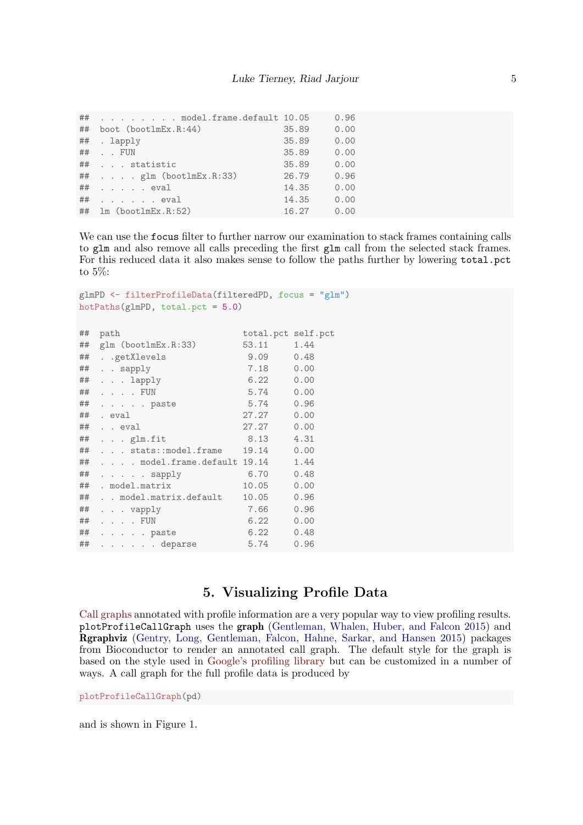|    | ## model.frame.default 10.05     |       | 0.96 |
|----|----------------------------------|-------|------|
| ## | boot (bootlmEx.R:44)             | 35.89 | 0.00 |
|    | ## . lapply                      | 35.89 | 0.00 |
|    | $\#$ # FUN                       | 35.89 | 0.00 |
|    | ## statistic                     | 35.89 | 0.00 |
|    | $\#$ # glm (bootlmEx.R:33)       | 26.79 | 0.96 |
|    | $\#$ $\#$ $\ldots$ $\ldots$ eval | 14.35 | 0.00 |
|    |                                  | 14.35 | 0.00 |
|    | $\#$ # 1m (bootlmEx.R:52)        | 16.27 | 0.00 |
|    |                                  |       |      |

We can use the focus filter to further narrow our examination to stack frames containing calls to glm and also remove all calls preceding the first glm call from the selected stack frames. For this reduced data it also makes sense to follow the paths further by lowering total.pct to 5%:

```
glmPD <- filterProfileData(filteredPD, focus = "glm")
hotPaths(glmPD, total.pct = 5.0)
## path total.pct self.pct
## glm (bootlmEx.R:33) 53.11 1.44
## . .getXlevels 9.09 0.48
## . . sapply 7.18 0.00
## . . . lapply 6.22 0.00
## . . . . FUN 5.74 0.00
## . . . . . paste 5.74 0.96
## . eval 27.27 0.00
## . . eval 27.27 0.00
## . . . glm.fit 8.13 4.31
## . . . stats::model.frame 19.14 0.00
## . . . . model.frame.default 19.14 1.44
## . . . . . sapply 6.70 0.48
## . model.matrix 10.05 0.00
## . . model.matrix.default 10.05 0.96
## . . . vapply 7.66 0.96
## . . . . FUN 6.22 0.00
## . . . . . paste 6.22 0.48
## . . . . . . deparse 5.74 0.96
```
### 5. Visualizing Profile Data

[Call graphs](https://en.wikipedia.org/wiki/Call_graph) annotated with profile information are a very popular way to view profiling results. plotProfileCallGraph uses the graph [\(Gentleman, Whalen, Huber, and Falcon 2015\)](#page-11-1) and Rgraphviz [\(Gentry, Long, Gentleman, Falcon, Hahne, Sarkar, and Hansen 2015\)](#page-11-2) packages from Bioconductor to render an annotated call graph. The default style for the graph is based on the style used in [Google's profiling library](https://github.com/gperftools) but can be customized in a number of ways. A call graph for the full profile data is produced by

plotProfileCallGraph(pd)

and is shown in Figure [1.](#page-5-0)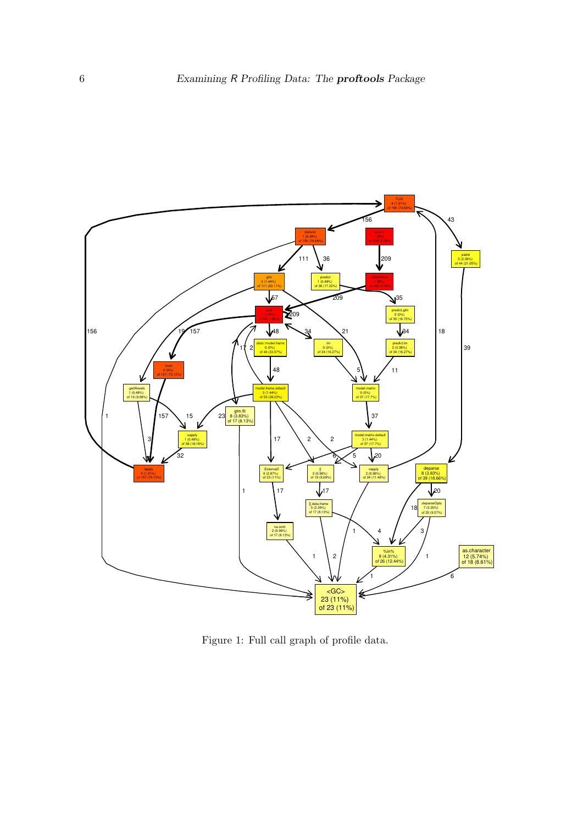

<span id="page-5-0"></span>Figure 1: Full call graph of profile data.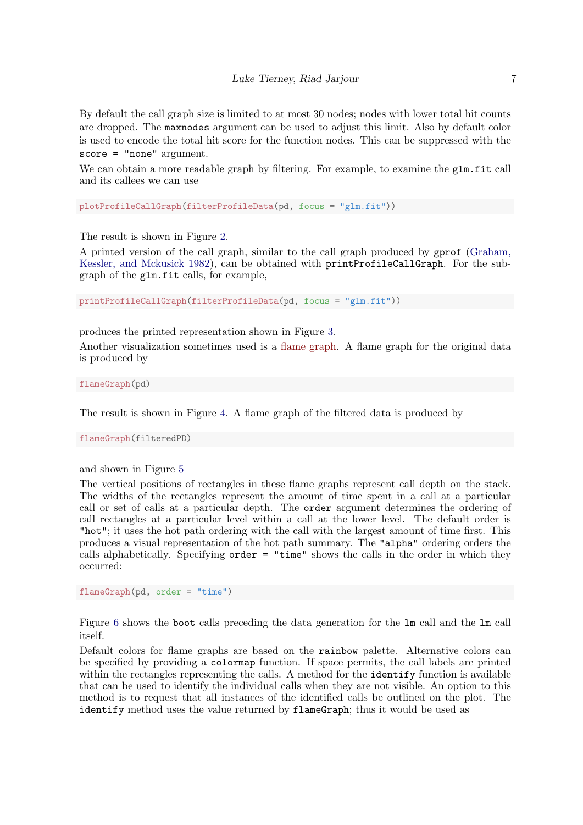By default the call graph size is limited to at most 30 nodes; nodes with lower total hit counts are dropped. The maxnodes argument can be used to adjust this limit. Also by default color is used to encode the total hit score for the function nodes. This can be suppressed with the score = "none" argument.

We can obtain a more readable graph by filtering. For example, to examine the glm.fit call and its callees we can use

plotProfileCallGraph(filterProfileData(pd, focus = "glm.fit"))

The result is shown in Figure [2.](#page-7-0)

A printed version of the call graph, similar to the call graph produced by gprof [\(Graham,](#page-11-3) [Kessler, and Mckusick 1982\)](#page-11-3), can be obtained with printProfileCallGraph. For the subgraph of the glm.fit calls, for example,

printProfileCallGraph(filterProfileData(pd, focus = "glm.fit"))

produces the printed representation shown in Figure [3.](#page-8-0)

Another visualization sometimes used is a [flame graph.](http://www.brendangregg.com/flamegraphs.html) A flame graph for the original data is produced by

flameGraph(pd)

The result is shown in Figure [4.](#page-9-0) A flame graph of the filtered data is produced by

flameGraph(filteredPD)

and shown in Figure [5](#page-10-2)

The vertical positions of rectangles in these flame graphs represent call depth on the stack. The widths of the rectangles represent the amount of time spent in a call at a particular call or set of calls at a particular depth. The order argument determines the ordering of call rectangles at a particular level within a call at the lower level. The default order is "hot"; it uses the hot path ordering with the call with the largest amount of time first. This produces a visual representation of the hot path summary. The "alpha" ordering orders the calls alphabetically. Specifying order = "time" shows the calls in the order in which they occurred:

flameGraph(pd, order = "time")

Figure [6](#page-11-4) shows the boot calls preceding the data generation for the lm call and the lm call itself.

Default colors for flame graphs are based on the rainbow palette. Alternative colors can be specified by providing a colormap function. If space permits, the call labels are printed within the rectangles representing the calls. A method for the **identify** function is available that can be used to identify the individual calls when they are not visible. An option to this method is to request that all instances of the identified calls be outlined on the plot. The identify method uses the value returned by flameGraph; thus it would be used as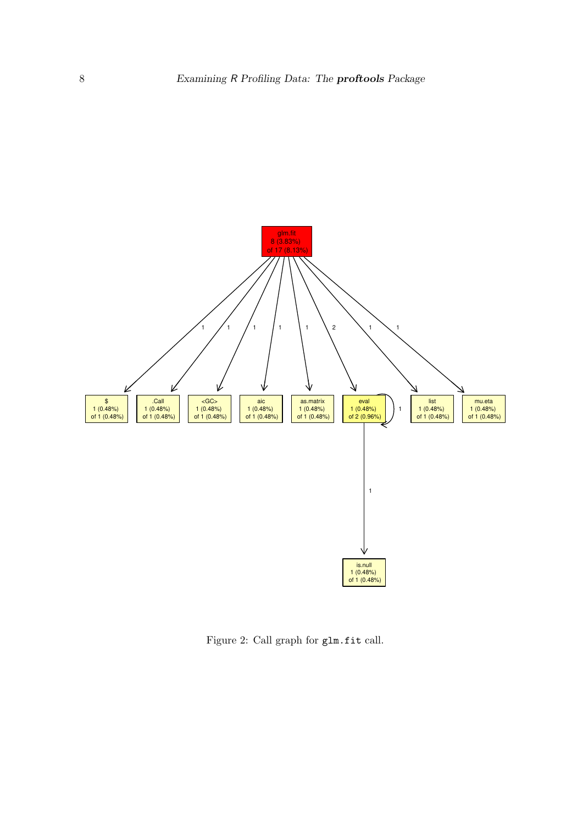

<span id="page-7-0"></span>Figure 2: Call graph for glm.fit call.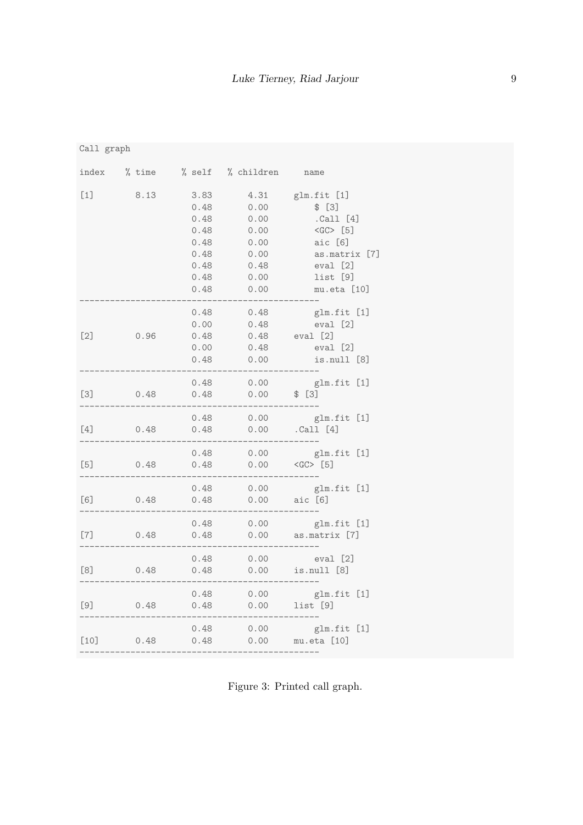|  | Ca11 | graph |
|--|------|-------|
|--|------|-------|

| index                                                                                                                                                                                                                                                                                                                                                                                                                                                                                                  | $%$ time |                                                                      | % self % children                                                    | name                                                                                                                 |
|--------------------------------------------------------------------------------------------------------------------------------------------------------------------------------------------------------------------------------------------------------------------------------------------------------------------------------------------------------------------------------------------------------------------------------------------------------------------------------------------------------|----------|----------------------------------------------------------------------|----------------------------------------------------------------------|----------------------------------------------------------------------------------------------------------------------|
| $[1]$                                                                                                                                                                                                                                                                                                                                                                                                                                                                                                  | 8.13     | 3.83<br>0.48<br>0.48<br>0.48<br>0.48<br>0.48<br>0.48<br>0.48<br>0.48 | 4.31<br>0.00<br>0.00<br>0.00<br>0.00<br>0.00<br>0.48<br>0.00<br>0.00 | glm.fit [1]<br>\$ [3]<br>.Call [4]<br>$<$ GC> [5]<br>aic [6]<br>as.matrix [7]<br>eval [2]<br>list [9]<br>mu.eta [10] |
| $[2]$                                                                                                                                                                                                                                                                                                                                                                                                                                                                                                  | 0.96     | 0.48<br>0.00<br>0.48<br>0.00<br>0.48                                 | 0.48<br>0.48<br>0.48<br>0.48<br>0.00                                 | glm.fit [1]<br>eval [2]<br>eval [2]<br>eval [2]<br>is.null [8]                                                       |
| $[3]$                                                                                                                                                                                                                                                                                                                                                                                                                                                                                                  | 0.48     | 0.48<br>0.48                                                         | 0.00<br>0.00                                                         | glm.fit [1]<br>\$ [3]                                                                                                |
| $[4]$                                                                                                                                                                                                                                                                                                                                                                                                                                                                                                  | 0.48     | 0.48<br>0.48                                                         | 0.00<br>0.00                                                         | glm.fit [1]<br>.Call [4]                                                                                             |
| $[5]$                                                                                                                                                                                                                                                                                                                                                                                                                                                                                                  | 0.48     | 0.48<br>0.48                                                         | 0.00<br>0.00                                                         | glm.fit [1]<br>$<$ GC> [5]                                                                                           |
| [6]                                                                                                                                                                                                                                                                                                                                                                                                                                                                                                    | 0.48     | 0.48<br>0.48                                                         | 0.00<br>0.00                                                         | glm.fit [1]<br>aic [6]                                                                                               |
| $[7] \centering% \includegraphics[width=1\textwidth]{images/TransY.pdf} \caption{The first two different values of $d=3$ and $d=4$ (left) and $d=5$ (right) and $d=6$ (right) and $d=6$ (right) and $d=6$ (right) and $d=6$ (right) and $d=6$ (right) and $d=6$ (right) and $d=6$ (right) and $d=6$ (right) and $d=6$ (right) and $d=6$ (right) and $d=6$ (right) and $d=6$ (right) and $d=6$ (right) and $d=6$ (right) and $d=6$ (right) and $d=6$ (right) and $d=6$ (right) and $d=6$ (right) and $$ | 0.48     | 0.48<br>0.48                                                         | 0.00<br>0.00                                                         | glm.fit [1]<br>as.matrix [7]                                                                                         |
|                                                                                                                                                                                                                                                                                                                                                                                                                                                                                                        | 0.48     | 0.48<br>0.48                                                         | 0.00<br>0.00                                                         | eval [2]<br>is.null [8]                                                                                              |
| [9]                                                                                                                                                                                                                                                                                                                                                                                                                                                                                                    | 0.48     | 0.48<br>0.48                                                         | 0.00<br>0.00                                                         | glm.fit [1]<br>list [9]                                                                                              |
| $[10]$                                                                                                                                                                                                                                                                                                                                                                                                                                                                                                 | 0.48     | 0.48<br>0.48                                                         | 0.00<br>0.00                                                         | glm.fit [1]<br>mu.eta [10]                                                                                           |

<span id="page-8-0"></span>Figure 3: Printed call graph.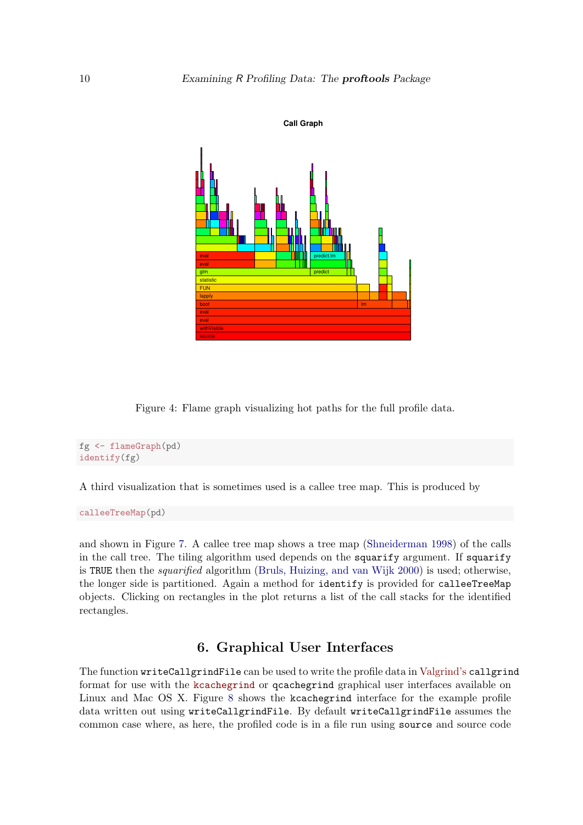

<span id="page-9-0"></span>Figure 4: Flame graph visualizing hot paths for the full profile data.

```
fg <- flameGraph(pd)
identify(fg)
```
A third visualization that is sometimes used is a callee tree map. This is produced by

calleeTreeMap(pd)

and shown in Figure [7.](#page-12-0) A callee tree map shows a tree map [\(Shneiderman 1998\)](#page-11-5) of the calls in the call tree. The tiling algorithm used depends on the squarify argument. If squarify is TRUE then the squarified algorithm [\(Bruls, Huizing, and van Wijk 2000\)](#page-10-3) is used; otherwise, the longer side is partitioned. Again a method for identify is provided for calleeTreeMap objects. Clicking on rectangles in the plot returns a list of the call stacks for the identified rectangles.

## 6. Graphical User Interfaces

The function writeCallgrindFile can be used to write the profile data in [Valgrind's](valgrind.org) callgrind format for use with the [kcachegrind](http://kcachegrind.sourceforge.net/html/Home.html) or qcachegrind graphical user interfaces available on Linux and Mac OS X. Figure [8](#page-12-1) shows the kcachegrind interface for the example profile data written out using writeCallgrindFile. By default writeCallgrindFile assumes the common case where, as here, the profiled code is in a file run using source and source code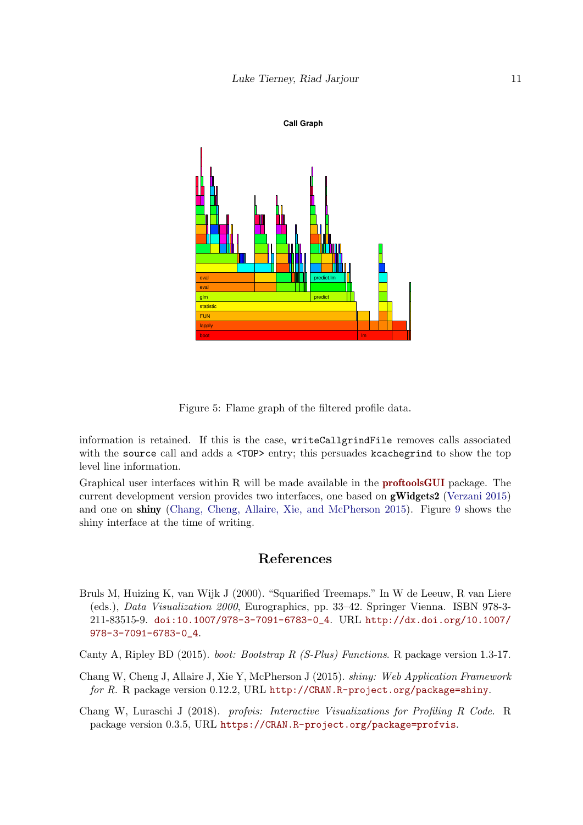



<span id="page-10-2"></span>Figure 5: Flame graph of the filtered profile data.

information is retained. If this is the case, writeCallgrindFile removes calls associated with the source call and adds a  $\langle \text{TOP} \rangle$  entry; this persuades kcachegrind to show the top level line information.

Graphical user interfaces within R will be made available in the [proftoolsGUI](https://github.com/ltierney/Rpkg-proftools-GUI) package. The current development version provides two interfaces, one based on  $gWidgets2$  [\(Verzani 2015\)](#page-11-6) and one on shiny [\(Chang, Cheng, Allaire, Xie, and McPherson 2015\)](#page-10-4). Figure [9](#page-13-0) shows the shiny interface at the time of writing.

# References

- <span id="page-10-3"></span>Bruls M, Huizing K, van Wijk J (2000). "Squarified Treemaps." In W de Leeuw, R van Liere (eds.), Data Visualization 2000, Eurographics, pp. 33–42. Springer Vienna. ISBN 978-3- 211-83515-9. [doi:10.1007/978-3-7091-6783-0\\_4](http://dx.doi.org/10.1007/978-3-7091-6783-0_4). URL [http://dx.doi.org/10.1007/](http://dx.doi.org/10.1007/978-3-7091-6783-0_4) [978-3-7091-6783-0\\_4](http://dx.doi.org/10.1007/978-3-7091-6783-0_4).
- <span id="page-10-1"></span>Canty A, Ripley BD (2015). boot: Bootstrap R (S-Plus) Functions. R package version 1.3-17.
- <span id="page-10-4"></span>Chang W, Cheng J, Allaire J, Xie Y, McPherson J (2015). shiny: Web Application Framework for R. R package version 0.12.2, URL <http://CRAN.R-project.org/package=shiny>.

<span id="page-10-0"></span>Chang W, Luraschi J (2018). profvis: Interactive Visualizations for Profiling R Code. R package version 0.3.5, URL <https://CRAN.R-project.org/package=profvis>.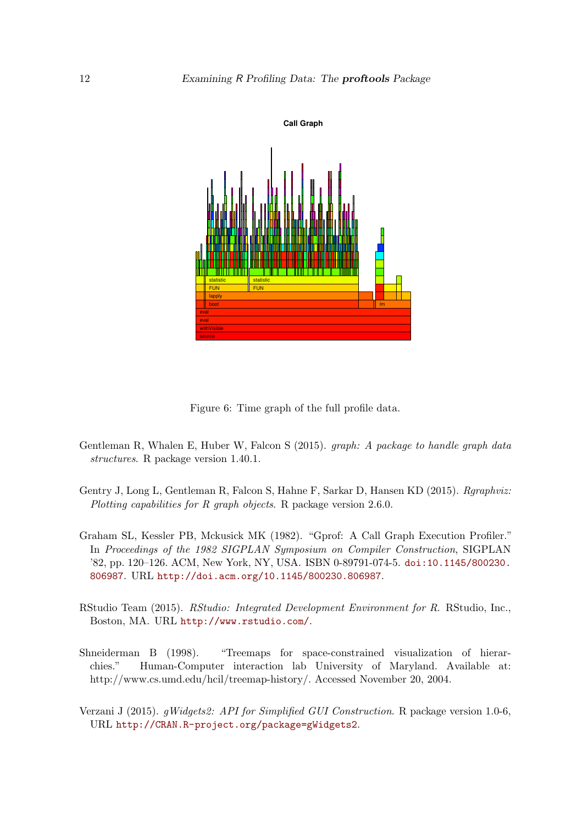

<span id="page-11-4"></span>Figure 6: Time graph of the full profile data.

- <span id="page-11-1"></span>Gentleman R, Whalen E, Huber W, Falcon S (2015). graph: A package to handle graph data structures. R package version 1.40.1.
- <span id="page-11-2"></span>Gentry J, Long L, Gentleman R, Falcon S, Hahne F, Sarkar D, Hansen KD (2015). Rgraphviz: Plotting capabilities for R graph objects. R package version 2.6.0.
- <span id="page-11-3"></span>Graham SL, Kessler PB, Mckusick MK (1982). "Gprof: A Call Graph Execution Profiler." In Proceedings of the 1982 SIGPLAN Symposium on Compiler Construction, SIGPLAN '82, pp. 120–126. ACM, New York, NY, USA. ISBN 0-89791-074-5. [doi:10.1145/800230.](http://dx.doi.org/10.1145/800230.806987) [806987](http://dx.doi.org/10.1145/800230.806987). URL <http://doi.acm.org/10.1145/800230.806987>.
- <span id="page-11-0"></span>RStudio Team (2015). RStudio: Integrated Development Environment for R. RStudio, Inc., Boston, MA. URL <http://www.rstudio.com/>.
- <span id="page-11-5"></span>Shneiderman B (1998). "Treemaps for space-constrained visualization of hierarchies." Human-Computer interaction lab University of Maryland. Available at: http://www.cs.umd.edu/hcil/treemap-history/. Accessed November 20, 2004.
- <span id="page-11-6"></span>Verzani J (2015). gWidgets2: API for Simplified GUI Construction. R package version 1.0-6, URL <http://CRAN.R-project.org/package=gWidgets2>.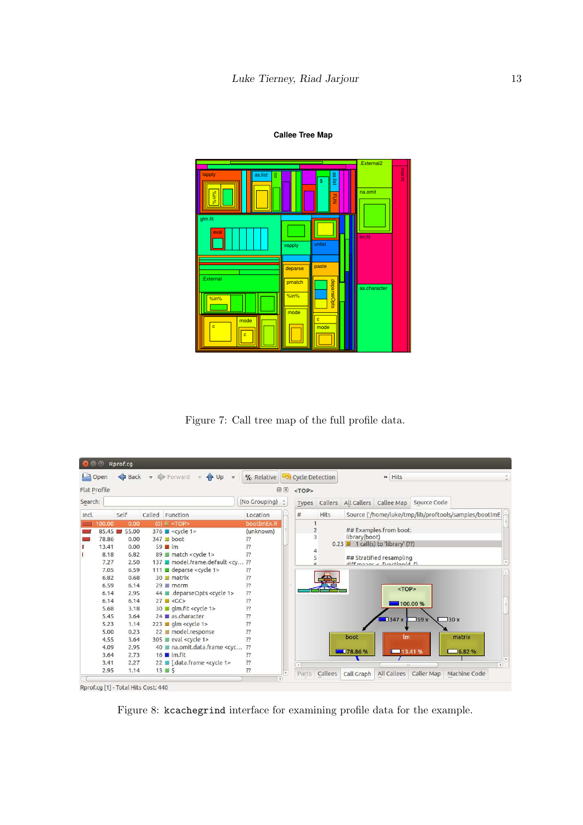#### **Callee Tree Map**



<span id="page-12-0"></span>Figure 7: Call tree map of the full profile data.

| $\leftrightarrow$ Back $\leftrightarrow$ Forward<br>L<br>Open<br>$4 \text{ Up } \ne$<br>$\overline{\nabla}$ : |       |  |                                                                                                                                                                                           | % Relative (S) Cycle Detection |              |                |         | » Hits        |                                                   |                        |                                                       |
|---------------------------------------------------------------------------------------------------------------|-------|--|-------------------------------------------------------------------------------------------------------------------------------------------------------------------------------------------|--------------------------------|--------------|----------------|---------|---------------|---------------------------------------------------|------------------------|-------------------------------------------------------|
| Flat Profile                                                                                                  |       |  |                                                                                                                                                                                           |                                | <b>问 ×</b>   | $<$ TOP>       |         |               |                                                   |                        |                                                       |
| Search:                                                                                                       |       |  |                                                                                                                                                                                           | (No Grouping)                  | $\hat{z}$    | Types          | Callers |               | All Callers Callee Map                            | Source Code            |                                                       |
| Incl.                                                                                                         | Self  |  | Called Function                                                                                                                                                                           | Location                       |              | #              | Hits    |               |                                                   |                        | Source ('/home/luke/tmp/lib/proftools/samples/bootlmE |
| 100.00                                                                                                        | 0.00  |  | (0) 图 <top></top>                                                                                                                                                                         | bootlmEx.R                     |              |                |         |               |                                                   |                        |                                                       |
| 85.45                                                                                                         | 55.00 |  | $376$ $\blacksquare$ <cycle 1=""></cycle>                                                                                                                                                 | (unknown)                      |              | $\overline{c}$ |         |               | ## Examples from boot:                            |                        |                                                       |
| 78.86                                                                                                         | 0.00  |  | $347$ boot                                                                                                                                                                                | ??                             |              | 3              |         | library(boot) |                                                   |                        |                                                       |
| 13.41                                                                                                         | 0.00  |  | $59$ $\blacksquare$ Im                                                                                                                                                                    | 77                             |              |                |         |               | $0.23$ $\blacksquare$ 1 call(s) to 'library' (??) |                        |                                                       |
| 8.18                                                                                                          | 6.82  |  | 89 match <cycle 1=""></cycle>                                                                                                                                                             | ??                             |              | 4<br>5         |         |               | ## Stratified resampling                          |                        |                                                       |
| 7.27                                                                                                          | 2.50  |  | 137 ■ model.frame.default <cv< td=""><td>??</td><td></td><td></td><td></td><td></td><td><math>diff</math> manne <math>\neq</math> function/d <math>f</math>)</td><td></td><td></td></cv<> | ??                             |              |                |         |               | $diff$ manne $\neq$ function/d $f$ )              |                        |                                                       |
| 7.05                                                                                                          | 6.59  |  | 111 <b>■</b> deparse <cycle 1=""></cycle>                                                                                                                                                 | ??                             |              |                |         |               |                                                   |                        |                                                       |
| 6.82                                                                                                          | 0.68  |  | 30 matrix                                                                                                                                                                                 | ??                             |              |                |         |               |                                                   |                        |                                                       |
| 6.59                                                                                                          | 6.14  |  | $29 \equiv$ rnorm                                                                                                                                                                         | ??                             |              |                |         |               | <top></top>                                       |                        |                                                       |
| 6.14                                                                                                          | 2.95  |  | 44 deparseOpts <cycle 1=""></cycle>                                                                                                                                                       | ??                             |              |                |         |               |                                                   |                        |                                                       |
| 6.14                                                                                                          | 6.14  |  | $27 \text{ J} < G$ C>                                                                                                                                                                     | ??                             |              |                |         |               |                                                   | 100.00 %               |                                                       |
| 5.68                                                                                                          | 3.18  |  | 30 dm.fit <cycle 1=""></cycle>                                                                                                                                                            | $\overline{?}$                 |              |                |         |               |                                                   |                        |                                                       |
| 5.45                                                                                                          | 3.64  |  | 24 Las.character                                                                                                                                                                          | ??                             |              |                |         |               | 1347x                                             | J59x                   | 30 x                                                  |
| 5.23                                                                                                          | 1.14  |  | $223$ dm <cycle 1=""></cycle>                                                                                                                                                             | ??                             |              |                |         |               |                                                   |                        |                                                       |
| 5.00                                                                                                          | 0.23  |  | 22 ■ model.response                                                                                                                                                                       | ??                             |              |                |         |               |                                                   |                        |                                                       |
| 4.55                                                                                                          | 3.64  |  | 305 eval <cycle 1=""></cycle>                                                                                                                                                             | ??                             |              |                |         | boot          | Im                                                |                        | matrix                                                |
| 4.09                                                                                                          | 2.95  |  | 40 ■ na.omit.data.frame <cyc< td=""><td>??</td><td></td><td></td><td></td><td></td><td></td><td></td><td></td></cyc<>                                                                     | ??                             |              |                |         |               |                                                   |                        |                                                       |
| 3.64                                                                                                          | 2.73  |  | $16$   $\text{Im}$ . fit                                                                                                                                                                  | ??                             |              |                |         | 178.86%       | <b>13.41%</b>                                     |                        | 76.82%                                                |
| 3.41                                                                                                          | 2.27  |  | 22 ■ [.data.frame <cycle 1=""></cycle>                                                                                                                                                    | ??                             |              | $+6$           |         |               | 111.                                              |                        |                                                       |
| 2.95                                                                                                          | 1.14  |  | $13 \equiv 5$                                                                                                                                                                             | ??                             | $\mathbf{v}$ | Parts          | Callees | Call Graph    |                                                   | All Callees Caller Map | Machine Code                                          |

<span id="page-12-1"></span>Figure 8: kcachegrind interface for examining profile data for the example.